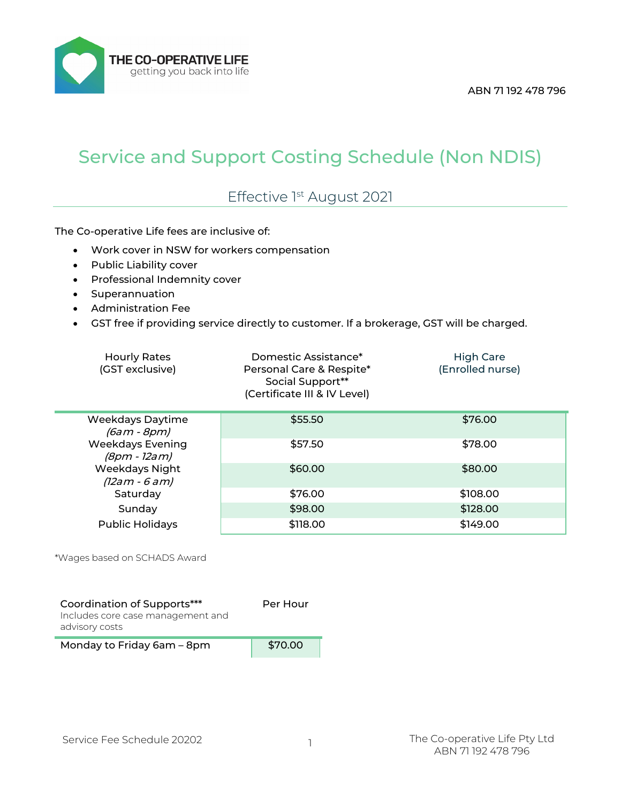THE CO-OPERATIVE LIFE getting you back into life

## Service and Support Costing Schedule (Non NDIS)

## Effective 1st August 2021

The Co-operative Life fees are inclusive of:

- Work cover in NSW for workers compensation
- Public Liability cover
- Professional Indemnity cover
- Superannuation
- Administration Fee
- GST free if providing service directly to customer. If a brokerage, GST will be charged.

| <b>Hourly Rates</b><br>(GST exclusive)   | Domestic Assistance*<br>Personal Care & Respite*<br>Social Support**<br>(Certificate III & IV Level) | High Care<br>(Enrolled nurse) |
|------------------------------------------|------------------------------------------------------------------------------------------------------|-------------------------------|
| <b>Weekdays Daytime</b><br>$(6cm - Rnm)$ | \$55.50                                                                                              | \$76.00                       |

| (6am - 8pm)                             |          |          |
|-----------------------------------------|----------|----------|
| <b>Weekdays Evening</b><br>(8pm - 12am) | \$57.50  | \$78.00  |
| Weekdays Night<br>$(12am - 6am)$        | \$60.00  | \$80.00  |
| Saturday                                | \$76.00  | \$108.00 |
| Sunday                                  | \$98.00  | \$128.00 |
| <b>Public Holidays</b>                  | \$118.00 | \$149.00 |

\*Wages based on SCHADS Award

| Coordination of Supports***<br>Includes core case management and<br>advisory costs | Per Hour |
|------------------------------------------------------------------------------------|----------|
| Monday to Friday 6am - 8pm                                                         | \$70.00  |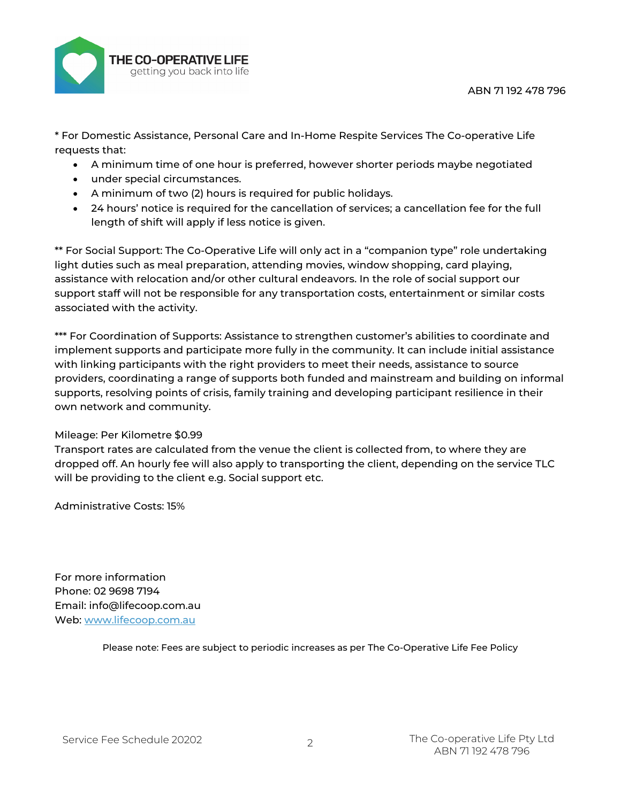

\* For Domestic Assistance, Personal Care and In-Home Respite Services The Co-operative Life requests that:

- A minimum time of one hour is preferred, however shorter periods maybe negotiated
- under special circumstances.
- A minimum of two (2) hours is required for public holidays.
- 24 hours' notice is required for the cancellation of services; a cancellation fee for the full length of shift will apply if less notice is given.

\*\* For Social Support: The Co-Operative Life will only act in a "companion type" role undertaking light duties such as meal preparation, attending movies, window shopping, card playing, assistance with relocation and/or other cultural endeavors. In the role of social support our support staff will not be responsible for any transportation costs, entertainment or similar costs associated with the activity.

\*\*\* For Coordination of Supports: Assistance to strengthen customer's abilities to coordinate and implement supports and participate more fully in the community. It can include initial assistance with linking participants with the right providers to meet their needs, assistance to source providers, coordinating a range of supports both funded and mainstream and building on informal supports, resolving points of crisis, family training and developing participant resilience in their own network and community.

## Mileage: Per Kilometre \$0.99

Transport rates are calculated from the venue the client is collected from, to where they are dropped off. An hourly fee will also apply to transporting the client, depending on the service TLC will be providing to the client e.g. Social support etc.

Administrative Costs: 15%

For more information Phone: 02 9698 7194 Email: info@lifecoop.com.au Web: [www.lifecoop.com.au](http://www.lifecoop.com.au/)

Please note: Fees are subject to periodic increases as per The Co-Operative Life Fee Policy